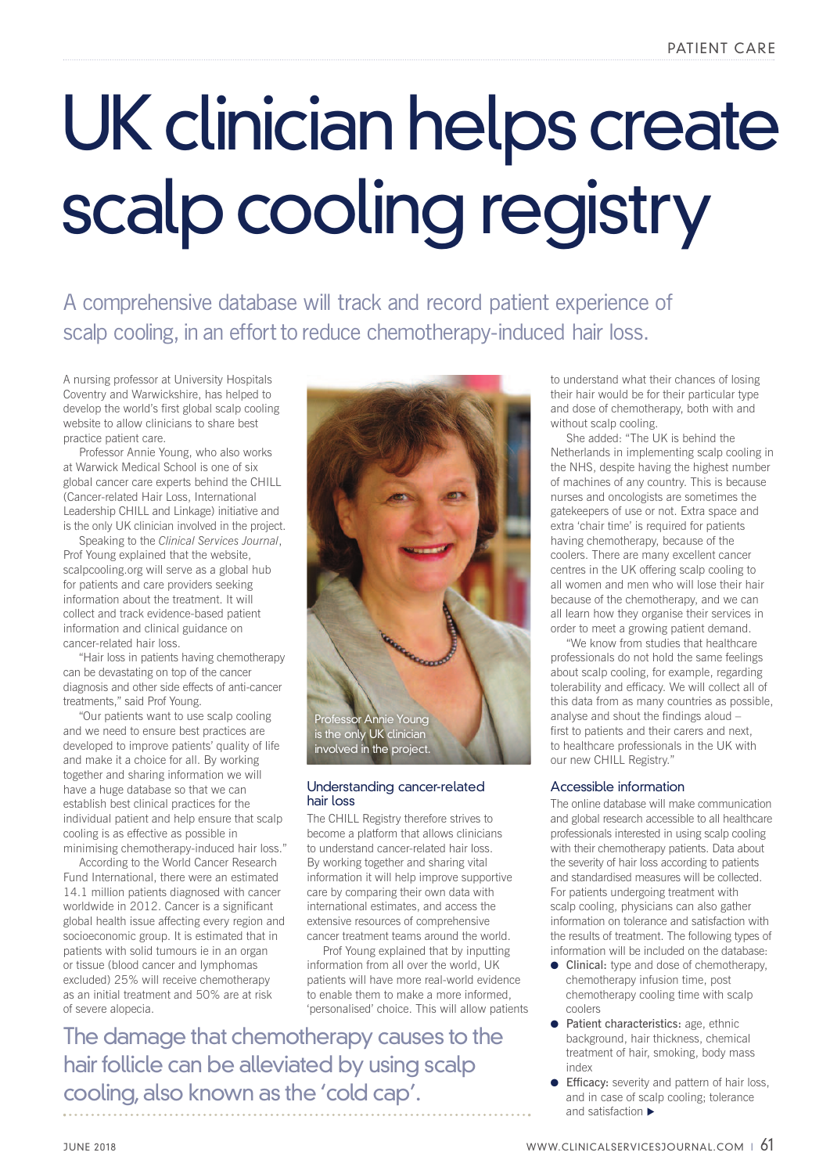## UK clinician helps create scalp cooling registry

A comprehensive database will track and record patient experience of scalp cooling, in an effort to reduce chemotherapy-induced hair loss.

A nursing professor at University Hospitals Coventry and Warwickshire, has helped to develop the world's first global scalp cooling website to allow clinicians to share best practice patient care.

Professor Annie Young, who also works at Warwick Medical School is one of six global cancer care experts behind the CHILL (Cancer-related Hair Loss, International Leadership CHILL and Linkage) initiative and is the only UK clinician involved in the project.

Speaking to the *Clinical Services Journal*, Prof Young explained that the website, scalpcooling.org will serve as a global hub for patients and care providers seeking information about the treatment. It will collect and track evidence-based patient information and clinical guidance on cancer-related hair loss.

"Hair loss in patients having chemotherapy can be devastating on top of the cancer diagnosis and other side effects of anti-cancer treatments," said Prof Young.

"Our patients want to use scalp cooling and we need to ensure best practices are developed to improve patients' quality of life and make it a choice for all. By working together and sharing information we will have a huge database so that we can establish best clinical practices for the individual patient and help ensure that scalp cooling is as effective as possible in minimising chemotherapy-induced hair loss."

According to the World Cancer Research Fund International, there were an estimated 14.1 million patients diagnosed with cancer worldwide in 2012. Cancer is a significant global health issue affecting every region and socioeconomic group. It is estimated that in patients with solid tumours ie in an organ or tissue (blood cancer and lymphomas excluded) 25% will receive chemotherapy as an initial treatment and 50% are at risk of severe alopecia.



## Understanding cancer-related hair loss

The CHILL Registry therefore strives to become a platform that allows clinicians to understand cancer-related hair loss. By working together and sharing vital information it will help improve supportive care by comparing their own data with international estimates, and access the extensive resources of comprehensive cancer treatment teams around the world.

Prof Young explained that by inputting information from all over the world, UK patients will have more real-world evidence to enable them to make a more informed, 'personalised' choice. This will allow patients

The damage that chemotherapy causes to the hair follicle can be alleviated by using scalp cooling, also known as the 'cold cap'.

to understand what their chances of losing their hair would be for their particular type and dose of chemotherapy, both with and without scalp cooling.

She added: "The UK is behind the Netherlands in implementing scalp cooling in the NHS, despite having the highest number of machines of any country. This is because nurses and oncologists are sometimes the gatekeepers of use or not. Extra space and extra 'chair time' is required for patients having chemotherapy, because of the coolers. There are many excellent cancer centres in the UK offering scalp cooling to all women and men who will lose their hair because of the chemotherapy, and we can all learn how they organise their services in order to meet a growing patient demand.

"We know from studies that healthcare professionals do not hold the same feelings about scalp cooling, for example, regarding tolerability and efficacy. We will collect all of this data from as many countries as possible, analyse and shout the findings aloud – first to patients and their carers and next, to healthcare professionals in the UK with our new CHILL Registry."

## Accessible information

The online database will make communication and global research accessible to all healthcare professionals interested in using scalp cooling with their chemotherapy patients. Data about the severity of hair loss according to patients and standardised measures will be collected. For patients undergoing treatment with scalp cooling, physicians can also gather information on tolerance and satisfaction with the results of treatment. The following types of information will be included on the database:

- $\bullet$  Clinical: type and dose of chemotherapy, chemotherapy infusion time, post chemotherapy cooling time with scalp coolers
- **Patient characteristics:** age, ethnic background, hair thickness, chemical treatment of hair, smoking, body mass index
- **Efficacy:** severity and pattern of hair loss, and in case of scalp cooling; tolerance and satisfaction  $\blacktriangleright$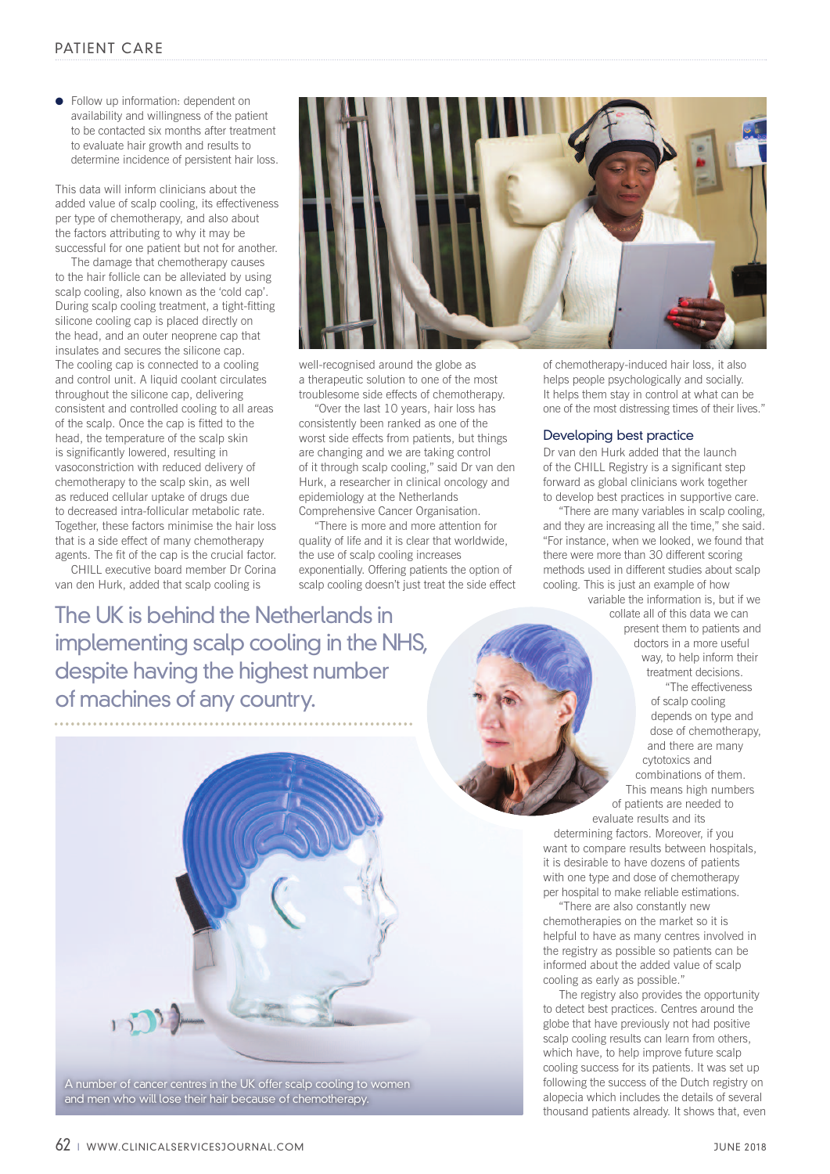**•** Follow up information: dependent on availability and willingness of the patient to be contacted six months after treatment to evaluate hair growth and results to determine incidence of persistent hair loss.

This data will inform clinicians about the added value of scalp cooling, its effectiveness per type of chemotherapy, and also about the factors attributing to why it may be successful for one patient but not for another.

The damage that chemotherapy causes to the hair follicle can be alleviated by using scalp cooling, also known as the 'cold cap'. During scalp cooling treatment, a tight-fitting silicone cooling cap is placed directly on the head, and an outer neoprene cap that insulates and secures the silicone cap. The cooling cap is connected to a cooling and control unit. A liquid coolant circulates throughout the silicone cap, delivering consistent and controlled cooling to all areas of the scalp. Once the cap is fitted to the head, the temperature of the scalp skin is significantly lowered, resulting in vasoconstriction with reduced delivery of chemotherapy to the scalp skin, as well as reduced cellular uptake of drugs due to decreased intra-follicular metabolic rate. Together, these factors minimise the hair loss that is a side effect of many chemotherapy agents. The fit of the cap is the crucial factor.

CHILL executive board member Dr Corina van den Hurk, added that scalp cooling is

well-recognised around the globe as a therapeutic solution to one of the most troublesome side effects of chemotherapy.

"Over the last 10 years, hair loss has consistently been ranked as one of the worst side effects from patients, but things are changing and we are taking control of it through scalp cooling," said Dr van den Hurk, a researcher in clinical oncology and epidemiology at the Netherlands Comprehensive Cancer Organisation.

"There is more and more attention for quality of life and it is clear that worldwide, the use of scalp cooling increases exponentially. Offering patients the option of scalp cooling doesn't just treat the side effect of chemotherapy-induced hair loss, it also helps people psychologically and socially. It helps them stay in control at what can be one of the most distressing times of their lives."

## Developing best practice

Dr van den Hurk added that the launch of the CHILL Registry is a significant step forward as global clinicians work together to develop best practices in supportive care.

"There are many variables in scalp cooling, and they are increasing all the time," she said. "For instance, when we looked, we found that there were more than 30 different scoring methods used in different studies about scalp cooling. This is just an example of how variable the information is, but if we

The UK is behind the Netherlands in implementing scalp cooling in the NHS, despite having the highest number of machines of any country.



"The effectiveness of scalp cooling depends on type and dose of chemotherapy, and there are many cytotoxics and combinations of them. This means high numbers of patients are needed to evaluate results and its

collate all of this data we can present them to patients and doctors in a more useful way, to help inform their treatment decisions.

determining factors. Moreover, if you want to compare results between hospitals. it is desirable to have dozens of patients with one type and dose of chemotherapy per hospital to make reliable estimations.

"There are also constantly new chemotherapies on the market so it is helpful to have as many centres involved in the registry as possible so patients can be informed about the added value of scalp cooling as early as possible."

The registry also provides the opportunity to detect best practices. Centres around the globe that have previously not had positive scalp cooling results can learn from others. which have, to help improve future scalp cooling success for its patients. It was set up following the success of the Dutch registry on alopecia which includes the details of several thousand patients already. It shows that, even